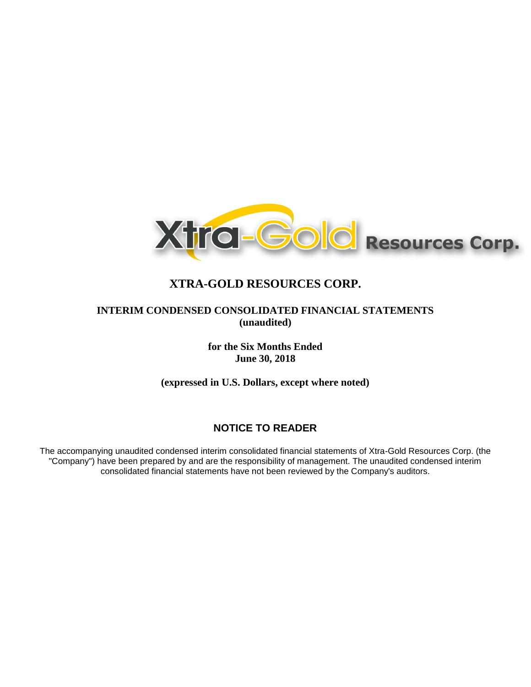

# **INTERIM CONDENSED CONSOLIDATED FINANCIAL STATEMENTS (unaudited)**

**for the Six Months Ended June 30, 2018**

**(expressed in U.S. Dollars, except where noted)**

# **NOTICE TO READER**

The accompanying unaudited condensed interim consolidated financial statements of Xtra-Gold Resources Corp. (the "Company") have been prepared by and are the responsibility of management. The unaudited condensed interim consolidated financial statements have not been reviewed by the Company's auditors.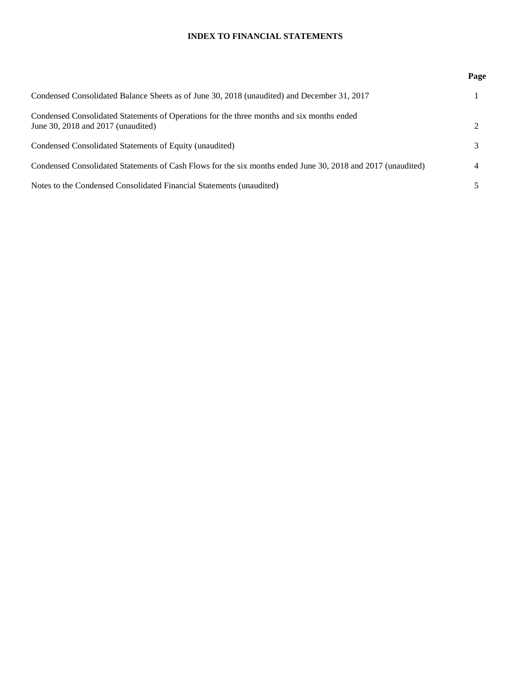# **INDEX TO FINANCIAL STATEMENTS**

|                                                                                                                                 | Page |
|---------------------------------------------------------------------------------------------------------------------------------|------|
| Condensed Consolidated Balance Sheets as of June 30, 2018 (unaudited) and December 31, 2017                                     |      |
| Condensed Consolidated Statements of Operations for the three months and six months ended<br>June 30, 2018 and 2017 (unaudited) |      |
| Condensed Consolidated Statements of Equity (unaudited)                                                                         |      |
| Condensed Consolidated Statements of Cash Flows for the six months ended June 30, 2018 and 2017 (unaudited)                     | 4    |
| Notes to the Condensed Consolidated Financial Statements (unaudited)                                                            |      |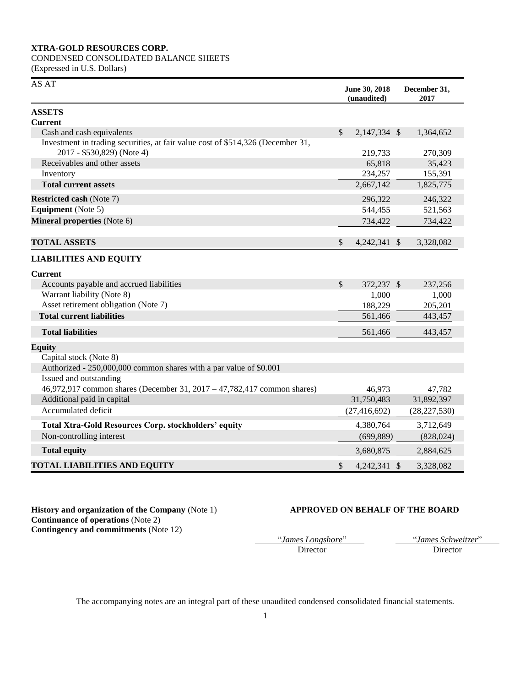# CONDENSED CONSOLIDATED BALANCE SHEETS

(Expressed in U.S. Dollars)

| AS AT                                                                                                         |               | June 30, 2018<br>(unaudited) | December 31,<br>2017 |
|---------------------------------------------------------------------------------------------------------------|---------------|------------------------------|----------------------|
| <b>ASSETS</b>                                                                                                 |               |                              |                      |
| <b>Current</b>                                                                                                |               |                              |                      |
| Cash and cash equivalents                                                                                     | $\mathcal{S}$ | 2,147,334 \$                 | 1,364,652            |
| Investment in trading securities, at fair value cost of \$514,326 (December 31,<br>2017 - \$530,829) (Note 4) |               | 219,733                      | 270,309              |
| Receivables and other assets                                                                                  |               | 65,818                       | 35,423               |
| Inventory                                                                                                     |               | 234,257                      | 155,391              |
| <b>Total current assets</b>                                                                                   |               | 2,667,142                    | 1,825,775            |
| <b>Restricted cash (Note 7)</b>                                                                               |               | 296,322                      | 246,322              |
| <b>Equipment</b> (Note 5)                                                                                     |               | 544,455                      | 521,563              |
| Mineral properties (Note 6)                                                                                   |               | 734,422                      | 734,422              |
| <b>TOTAL ASSETS</b>                                                                                           | \$            | 4,242,341 \$                 | 3,328,082            |
| <b>LIABILITIES AND EQUITY</b>                                                                                 |               |                              |                      |
| <b>Current</b>                                                                                                |               |                              |                      |
| Accounts payable and accrued liabilities                                                                      | $\mathcal{S}$ | 372.237 \$                   | 237,256              |
| Warrant liability (Note 8)                                                                                    |               | 1,000                        | 1,000                |
| Asset retirement obligation (Note 7)                                                                          |               | 188,229                      | 205,201              |
| <b>Total current liabilities</b>                                                                              |               | 561,466                      | 443,457              |
| <b>Total liabilities</b>                                                                                      |               | 561,466                      | 443,457              |
| <b>Equity</b>                                                                                                 |               |                              |                      |
| Capital stock (Note 8)                                                                                        |               |                              |                      |
| Authorized - 250,000,000 common shares with a par value of \$0.001                                            |               |                              |                      |
| Issued and outstanding                                                                                        |               |                              |                      |
| 46,972,917 common shares (December 31, 2017 – 47,782,417 common shares)                                       |               | 46,973                       | 47,782               |
| Additional paid in capital                                                                                    |               | 31,750,483                   | 31,892,397           |
| Accumulated deficit                                                                                           |               | (27, 416, 692)               | (28, 227, 530)       |
| <b>Total Xtra-Gold Resources Corp. stockholders' equity</b>                                                   |               | 4,380,764                    | 3,712,649            |
| Non-controlling interest                                                                                      |               | (699, 889)                   | (828, 024)           |
| <b>Total equity</b>                                                                                           |               | 3,680,875                    | 2,884,625            |
| <b>TOTAL LIABILITIES AND EQUITY</b>                                                                           | $\mathbb{S}$  | 4,242,341 \$                 | 3,328,082            |

**History and organization of the Company** (Note 1) **APPROVED ON BEHALF OF THE BOARD Continuance of operations** (Note 2) **Contingency and commitments** (Note 12)

Director Director

"*James Longshore*" "*James Schweitzer*"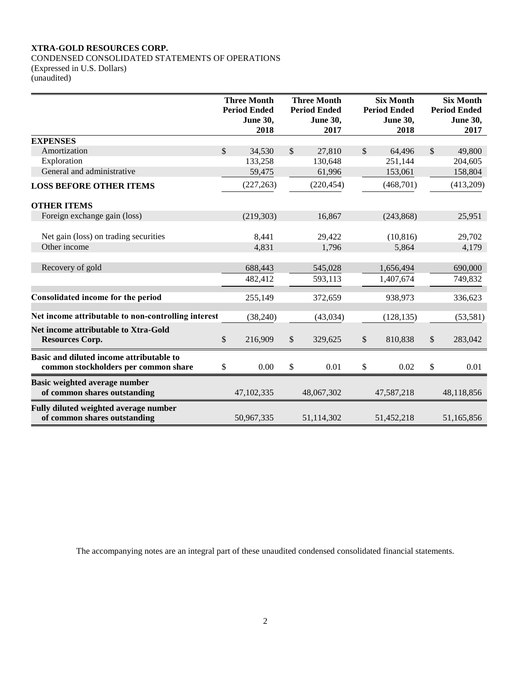CONDENSED CONSOLIDATED STATEMENTS OF OPERATIONS (Expressed in U.S. Dollars) (unaudited)

|                                                                                  | <b>Three Month</b><br><b>Period Ended</b><br><b>June 30,</b><br>2018 | <b>Three Month</b><br><b>Period Ended</b><br><b>June 30,</b><br>2017 |               | <b>Six Month</b><br><b>Period Ended</b><br><b>June 30,</b><br>2018 |               | <b>Six Month</b><br><b>Period Ended</b><br><b>June 30,</b><br>2017 |
|----------------------------------------------------------------------------------|----------------------------------------------------------------------|----------------------------------------------------------------------|---------------|--------------------------------------------------------------------|---------------|--------------------------------------------------------------------|
| <b>EXPENSES</b>                                                                  |                                                                      |                                                                      |               |                                                                    |               |                                                                    |
| Amortization                                                                     | \$<br>34,530                                                         | \$<br>27,810                                                         | <sup>\$</sup> | 64.496                                                             | <sup>\$</sup> | 49,800                                                             |
| Exploration                                                                      | 133,258                                                              | 130,648                                                              |               | 251,144                                                            |               | 204,605                                                            |
| General and administrative                                                       | 59,475                                                               | 61,996                                                               |               | 153,061                                                            |               | 158,804                                                            |
| <b>LOSS BEFORE OTHER ITEMS</b>                                                   | (227, 263)                                                           | (220, 454)                                                           |               | (468,701)                                                          |               | (413,209)                                                          |
| <b>OTHER ITEMS</b>                                                               |                                                                      |                                                                      |               |                                                                    |               |                                                                    |
| Foreign exchange gain (loss)                                                     | (219, 303)                                                           | 16,867                                                               |               | (243, 868)                                                         |               | 25,951                                                             |
| Net gain (loss) on trading securities                                            | 8,441                                                                | 29,422                                                               |               | (10, 816)                                                          |               | 29,702                                                             |
| Other income                                                                     | 4,831                                                                | 1,796                                                                |               | 5,864                                                              |               | 4,179                                                              |
|                                                                                  |                                                                      |                                                                      |               |                                                                    |               |                                                                    |
| Recovery of gold                                                                 | 688,443                                                              | 545,028                                                              |               | 1,656,494                                                          |               | 690,000                                                            |
|                                                                                  | 482,412                                                              | 593,113                                                              |               | 1,407,674                                                          |               | 749,832                                                            |
| Consolidated income for the period                                               | 255,149                                                              | 372,659                                                              |               | 938,973                                                            |               | 336,623                                                            |
| Net income attributable to non-controlling interest                              | (38, 240)                                                            | (43, 034)                                                            |               | (128, 135)                                                         |               | (53, 581)                                                          |
| Net income attributable to Xtra-Gold<br><b>Resources Corp.</b>                   | \$<br>216,909                                                        | \$<br>329,625                                                        | \$            | 810,838                                                            | $\mathbb{S}$  | 283,042                                                            |
| Basic and diluted income attributable to<br>common stockholders per common share | \$<br>0.00                                                           | \$<br>0.01                                                           | \$            | 0.02                                                               | \$            | 0.01                                                               |
| Basic weighted average number<br>of common shares outstanding                    | 47, 102, 335                                                         | 48,067,302                                                           |               | 47,587,218                                                         |               | 48,118,856                                                         |
| Fully diluted weighted average number<br>of common shares outstanding            | 50,967,335                                                           | 51,114,302                                                           |               | 51,452,218                                                         |               | 51,165,856                                                         |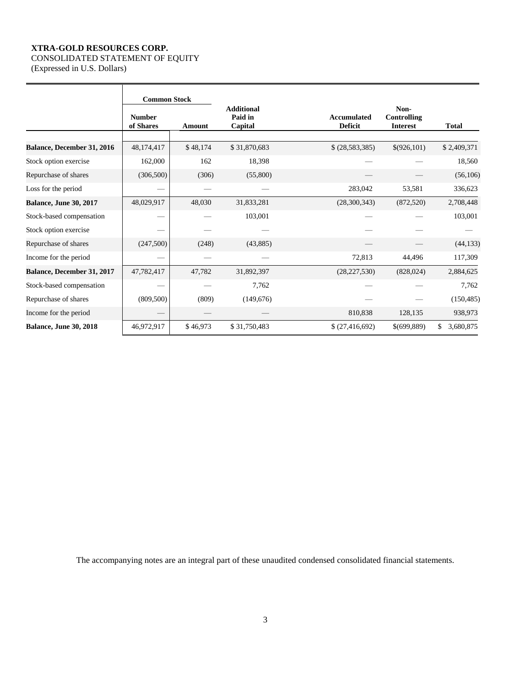# CONSOLIDATED STATEMENT OF EQUITY

(Expressed in U.S. Dollars)

|                               | <b>Common Stock</b>        |          |                                         |                                      |                                        |                 |
|-------------------------------|----------------------------|----------|-----------------------------------------|--------------------------------------|----------------------------------------|-----------------|
|                               | <b>Number</b><br>of Shares | Amount   | <b>Additional</b><br>Paid in<br>Capital | <b>Accumulated</b><br><b>Deficit</b> | Non-<br>Controlling<br><b>Interest</b> | <b>Total</b>    |
| Balance, December 31, 2016    | 48,174,417                 | \$48,174 | \$31,870,683                            | \$ (28, 583, 385)                    | \$(926,101)                            | \$2,409,371     |
| Stock option exercise         | 162,000                    | 162      | 18,398                                  |                                      |                                        | 18,560          |
| Repurchase of shares          | (306, 500)                 | (306)    | (55,800)                                |                                      |                                        | (56, 106)       |
| Loss for the period           |                            |          |                                         | 283,042                              | 53,581                                 | 336,623         |
| <b>Balance, June 30, 2017</b> | 48,029,917                 | 48,030   | 31,833,281                              | (28,300,343)                         | (872, 520)                             | 2,708,448       |
| Stock-based compensation      |                            |          | 103,001                                 |                                      |                                        | 103,001         |
| Stock option exercise         |                            |          |                                         |                                      |                                        |                 |
| Repurchase of shares          | (247,500)                  | (248)    | (43,885)                                |                                      |                                        | (44, 133)       |
| Income for the period         |                            |          |                                         | 72,813                               | 44,496                                 | 117,309         |
| Balance, December 31, 2017    | 47,782,417                 | 47,782   | 31,892,397                              | (28, 227, 530)                       | (828, 024)                             | 2,884,625       |
| Stock-based compensation      |                            |          | 7,762                                   |                                      |                                        | 7,762           |
| Repurchase of shares          | (809, 500)                 | (809)    | (149,676)                               |                                      |                                        | (150, 485)      |
| Income for the period         |                            |          |                                         | 810,838                              | 128,135                                | 938,973         |
| <b>Balance, June 30, 2018</b> | 46,972,917                 | \$46,973 | \$31,750,483                            | \$(27, 416, 692)                     | \$(699,889)                            | \$<br>3,680,875 |

<u> 1989 - Johann Barn, mars ann an t-Amhain Aonaichte ann an t-Amhain Aonaichte ann an t-Amhain Aonaichte ann an</u>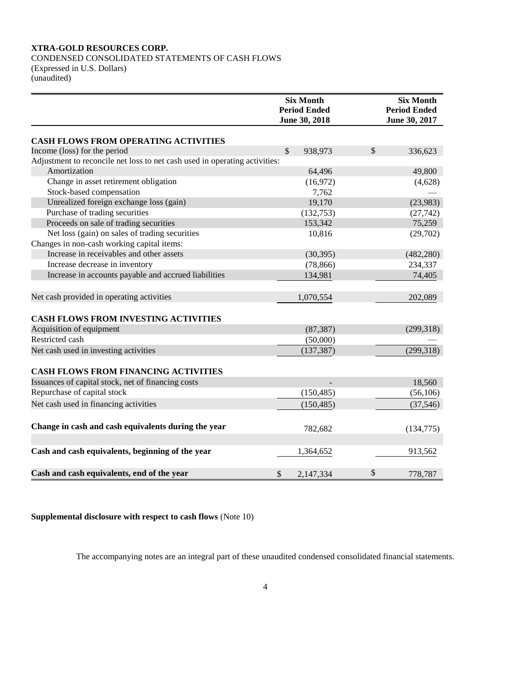CONDENSED CONSOLIDATED STATEMENTS OF CASH FLOWS (Expressed in U.S. Dollars) (unaudited)

|                                                                            | <b>Six Month</b><br><b>Period Ended</b><br>June 30, 2018 | <b>Six Month</b><br><b>Period Ended</b><br>June 30, 2017 |            |  |
|----------------------------------------------------------------------------|----------------------------------------------------------|----------------------------------------------------------|------------|--|
| <b>CASH FLOWS FROM OPERATING ACTIVITIES</b>                                |                                                          |                                                          |            |  |
| Income (loss) for the period                                               | $\mathcal{S}$<br>938,973                                 | \$                                                       | 336,623    |  |
| Adjustment to reconcile net loss to net cash used in operating activities: |                                                          |                                                          |            |  |
| Amortization                                                               | 64,496                                                   |                                                          | 49,800     |  |
| Change in asset retirement obligation                                      | (16,972)                                                 |                                                          | (4,628)    |  |
| Stock-based compensation                                                   | 7,762                                                    |                                                          |            |  |
| Unrealized foreign exchange loss (gain)                                    | 19,170                                                   |                                                          | (23,983)   |  |
| Purchase of trading securities                                             | (132,753)                                                |                                                          | (27, 742)  |  |
| Proceeds on sale of trading securities                                     | 153,342                                                  |                                                          | 75,259     |  |
| Net loss (gain) on sales of trading securities                             | 10,816                                                   |                                                          | (29,702)   |  |
| Changes in non-cash working capital items:                                 |                                                          |                                                          |            |  |
| Increase in receivables and other assets                                   | (30, 395)                                                |                                                          | (482, 280) |  |
| Increase decrease in inventory                                             | (78, 866)                                                |                                                          | 234,337    |  |
| Increase in accounts payable and accrued liabilities                       | 134,981                                                  |                                                          | 74,405     |  |
| Net cash provided in operating activities                                  | 1,070,554                                                |                                                          | 202,089    |  |
| <b>CASH FLOWS FROM INVESTING ACTIVITIES</b>                                |                                                          |                                                          |            |  |
| Acquisition of equipment                                                   | (87, 387)                                                |                                                          | (299,318)  |  |
| Restricted cash                                                            | (50,000)                                                 |                                                          |            |  |
| Net cash used in investing activities                                      | (137, 387)                                               |                                                          | (299, 318) |  |
| <b>CASH FLOWS FROM FINANCING ACTIVITIES</b>                                |                                                          |                                                          |            |  |
| Issuances of capital stock, net of financing costs                         |                                                          |                                                          | 18,560     |  |
| Repurchase of capital stock                                                | (150, 485)                                               |                                                          | (56, 106)  |  |
| Net cash used in financing activities                                      | (150, 485)                                               |                                                          | (37, 546)  |  |
| Change in cash and cash equivalents during the year                        | 782,682                                                  |                                                          | (134, 775) |  |
| Cash and cash equivalents, beginning of the year                           | 1,364,652                                                |                                                          | 913,562    |  |
| Cash and cash equivalents, end of the year                                 | \$<br>2,147,334                                          | \$                                                       | 778,787    |  |

**Supplemental disclosure with respect to cash flows** (Note 10)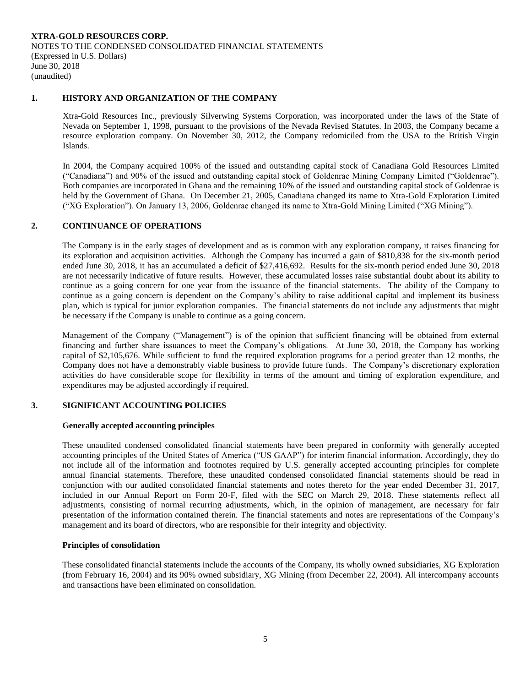# **1. HISTORY AND ORGANIZATION OF THE COMPANY**

Xtra-Gold Resources Inc., previously Silverwing Systems Corporation, was incorporated under the laws of the State of Nevada on September 1, 1998, pursuant to the provisions of the Nevada Revised Statutes. In 2003, the Company became a resource exploration company. On November 30, 2012, the Company redomiciled from the USA to the British Virgin Islands.

In 2004, the Company acquired 100% of the issued and outstanding capital stock of Canadiana Gold Resources Limited ("Canadiana") and 90% of the issued and outstanding capital stock of Goldenrae Mining Company Limited ("Goldenrae"). Both companies are incorporated in Ghana and the remaining 10% of the issued and outstanding capital stock of Goldenrae is held by the Government of Ghana. On December 21, 2005, Canadiana changed its name to Xtra-Gold Exploration Limited ("XG Exploration"). On January 13, 2006, Goldenrae changed its name to Xtra-Gold Mining Limited ("XG Mining").

# **2. CONTINUANCE OF OPERATIONS**

The Company is in the early stages of development and as is common with any exploration company, it raises financing for its exploration and acquisition activities. Although the Company has incurred a gain of \$810,838 for the six-month period ended June 30, 2018, it has an accumulated a deficit of \$27,416,692. Results for the six-month period ended June 30, 2018 are not necessarily indicative of future results. However, these accumulated losses raise substantial doubt about its ability to continue as a going concern for one year from the issuance of the financial statements. The ability of the Company to continue as a going concern is dependent on the Company's ability to raise additional capital and implement its business plan, which is typical for junior exploration companies. The financial statements do not include any adjustments that might be necessary if the Company is unable to continue as a going concern.

Management of the Company ("Management") is of the opinion that sufficient financing will be obtained from external financing and further share issuances to meet the Company's obligations. At June 30, 2018, the Company has working capital of \$2,105,676. While sufficient to fund the required exploration programs for a period greater than 12 months, the Company does not have a demonstrably viable business to provide future funds. The Company's discretionary exploration activities do have considerable scope for flexibility in terms of the amount and timing of exploration expenditure, and expenditures may be adjusted accordingly if required.

#### **3. SIGNIFICANT ACCOUNTING POLICIES**

#### **Generally accepted accounting principles**

These unaudited condensed consolidated financial statements have been prepared in conformity with generally accepted accounting principles of the United States of America ("US GAAP") for interim financial information. Accordingly, they do not include all of the information and footnotes required by U.S. generally accepted accounting principles for complete annual financial statements. Therefore, these unaudited condensed consolidated financial statements should be read in conjunction with our audited consolidated financial statements and notes thereto for the year ended December 31, 2017, included in our Annual Report on Form 20-F, filed with the SEC on March 29, 2018. These statements reflect all adjustments, consisting of normal recurring adjustments, which, in the opinion of management, are necessary for fair presentation of the information contained therein. The financial statements and notes are representations of the Company's management and its board of directors, who are responsible for their integrity and objectivity.

#### **Principles of consolidation**

These consolidated financial statements include the accounts of the Company, its wholly owned subsidiaries, XG Exploration (from February 16, 2004) and its 90% owned subsidiary, XG Mining (from December 22, 2004). All intercompany accounts and transactions have been eliminated on consolidation.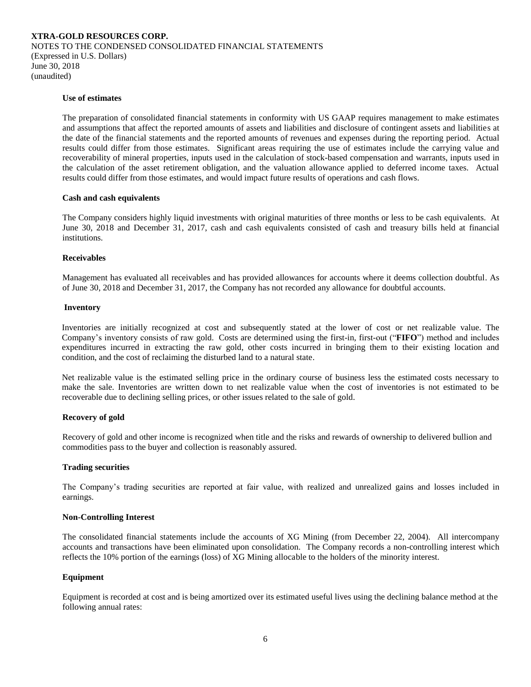#### **Use of estimates**

The preparation of consolidated financial statements in conformity with US GAAP requires management to make estimates and assumptions that affect the reported amounts of assets and liabilities and disclosure of contingent assets and liabilities at the date of the financial statements and the reported amounts of revenues and expenses during the reporting period. Actual results could differ from those estimates. Significant areas requiring the use of estimates include the carrying value and recoverability of mineral properties, inputs used in the calculation of stock-based compensation and warrants, inputs used in the calculation of the asset retirement obligation, and the valuation allowance applied to deferred income taxes. Actual results could differ from those estimates, and would impact future results of operations and cash flows.

#### **Cash and cash equivalents**

The Company considers highly liquid investments with original maturities of three months or less to be cash equivalents. At June 30, 2018 and December 31, 2017, cash and cash equivalents consisted of cash and treasury bills held at financial institutions.

#### **Receivables**

Management has evaluated all receivables and has provided allowances for accounts where it deems collection doubtful. As of June 30, 2018 and December 31, 2017, the Company has not recorded any allowance for doubtful accounts.

#### **Inventory**

Inventories are initially recognized at cost and subsequently stated at the lower of cost or net realizable value. The Company's inventory consists of raw gold. Costs are determined using the first-in, first-out ("**FIFO**") method and includes expenditures incurred in extracting the raw gold, other costs incurred in bringing them to their existing location and condition, and the cost of reclaiming the disturbed land to a natural state.

Net realizable value is the estimated selling price in the ordinary course of business less the estimated costs necessary to make the sale. Inventories are written down to net realizable value when the cost of inventories is not estimated to be recoverable due to declining selling prices, or other issues related to the sale of gold.

#### **Recovery of gold**

Recovery of gold and other income is recognized when title and the risks and rewards of ownership to delivered bullion and commodities pass to the buyer and collection is reasonably assured.

#### **Trading securities**

The Company's trading securities are reported at fair value, with realized and unrealized gains and losses included in earnings.

#### **Non-Controlling Interest**

The consolidated financial statements include the accounts of XG Mining (from December 22, 2004). All intercompany accounts and transactions have been eliminated upon consolidation. The Company records a non-controlling interest which reflects the 10% portion of the earnings (loss) of XG Mining allocable to the holders of the minority interest.

#### **Equipment**

Equipment is recorded at cost and is being amortized over its estimated useful lives using the declining balance method at the following annual rates: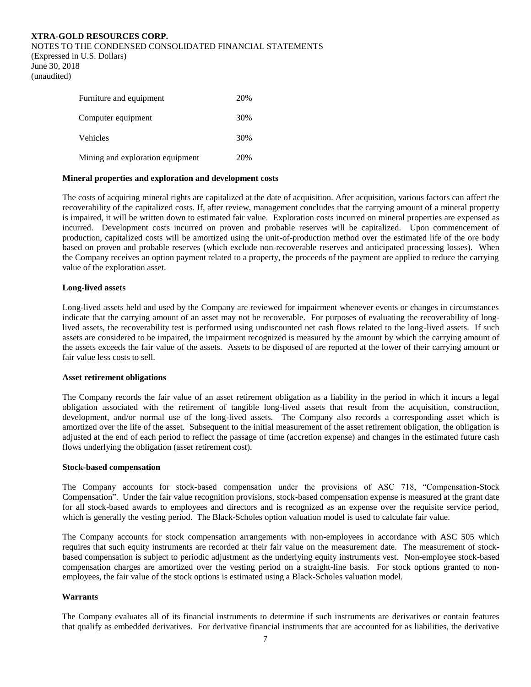## NOTES TO THE CONDENSED CONSOLIDATED FINANCIAL STATEMENTS

(Expressed in U.S. Dollars) June 30, 2018 (unaudited)

| Furniture and equipment          | 20% |
|----------------------------------|-----|
| Computer equipment               | 30% |
| <b>Vehicles</b>                  | 30% |
| Mining and exploration equipment | 20% |

#### **Mineral properties and exploration and development costs**

The costs of acquiring mineral rights are capitalized at the date of acquisition. After acquisition, various factors can affect the recoverability of the capitalized costs. If, after review, management concludes that the carrying amount of a mineral property is impaired, it will be written down to estimated fair value. Exploration costs incurred on mineral properties are expensed as incurred. Development costs incurred on proven and probable reserves will be capitalized. Upon commencement of production, capitalized costs will be amortized using the unit-of-production method over the estimated life of the ore body based on proven and probable reserves (which exclude non-recoverable reserves and anticipated processing losses). When the Company receives an option payment related to a property, the proceeds of the payment are applied to reduce the carrying value of the exploration asset.

#### **Long-lived assets**

Long-lived assets held and used by the Company are reviewed for impairment whenever events or changes in circumstances indicate that the carrying amount of an asset may not be recoverable. For purposes of evaluating the recoverability of longlived assets, the recoverability test is performed using undiscounted net cash flows related to the long-lived assets. If such assets are considered to be impaired, the impairment recognized is measured by the amount by which the carrying amount of the assets exceeds the fair value of the assets. Assets to be disposed of are reported at the lower of their carrying amount or fair value less costs to sell.

#### **Asset retirement obligations**

The Company records the fair value of an asset retirement obligation as a liability in the period in which it incurs a legal obligation associated with the retirement of tangible long-lived assets that result from the acquisition, construction, development, and/or normal use of the long-lived assets. The Company also records a corresponding asset which is amortized over the life of the asset. Subsequent to the initial measurement of the asset retirement obligation, the obligation is adjusted at the end of each period to reflect the passage of time (accretion expense) and changes in the estimated future cash flows underlying the obligation (asset retirement cost).

#### **Stock-based compensation**

The Company accounts for stock-based compensation under the provisions of ASC 718, "Compensation-Stock Compensation". Under the fair value recognition provisions, stock-based compensation expense is measured at the grant date for all stock-based awards to employees and directors and is recognized as an expense over the requisite service period, which is generally the vesting period. The Black-Scholes option valuation model is used to calculate fair value.

The Company accounts for stock compensation arrangements with non-employees in accordance with ASC 505 which requires that such equity instruments are recorded at their fair value on the measurement date. The measurement of stockbased compensation is subject to periodic adjustment as the underlying equity instruments vest. Non-employee stock-based compensation charges are amortized over the vesting period on a straight-line basis. For stock options granted to nonemployees, the fair value of the stock options is estimated using a Black-Scholes valuation model.

#### **Warrants**

The Company evaluates all of its financial instruments to determine if such instruments are derivatives or contain features that qualify as embedded derivatives. For derivative financial instruments that are accounted for as liabilities, the derivative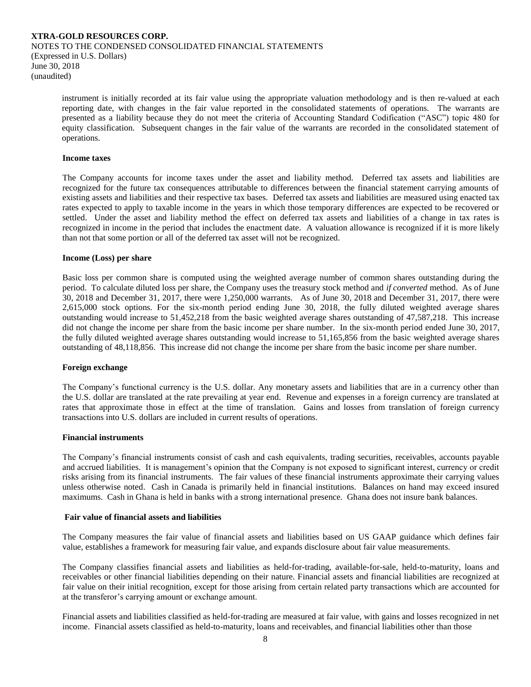instrument is initially recorded at its fair value using the appropriate valuation methodology and is then re-valued at each reporting date, with changes in the fair value reported in the consolidated statements of operations. The warrants are presented as a liability because they do not meet the criteria of Accounting Standard Codification ("ASC") topic 480 for equity classification. Subsequent changes in the fair value of the warrants are recorded in the consolidated statement of operations.

#### **Income taxes**

The Company accounts for income taxes under the asset and liability method. Deferred tax assets and liabilities are recognized for the future tax consequences attributable to differences between the financial statement carrying amounts of existing assets and liabilities and their respective tax bases. Deferred tax assets and liabilities are measured using enacted tax rates expected to apply to taxable income in the years in which those temporary differences are expected to be recovered or settled. Under the asset and liability method the effect on deferred tax assets and liabilities of a change in tax rates is recognized in income in the period that includes the enactment date. A valuation allowance is recognized if it is more likely than not that some portion or all of the deferred tax asset will not be recognized.

#### **Income (Loss) per share**

Basic loss per common share is computed using the weighted average number of common shares outstanding during the period. To calculate diluted loss per share, the Company uses the treasury stock method and *if converted* method. As of June 30, 2018 and December 31, 2017, there were 1,250,000 warrants. As of June 30, 2018 and December 31, 2017, there were 2,615,000 stock options. For the six-month period ending June 30, 2018, the fully diluted weighted average shares outstanding would increase to 51,452,218 from the basic weighted average shares outstanding of 47,587,218. This increase did not change the income per share from the basic income per share number. In the six-month period ended June 30, 2017, the fully diluted weighted average shares outstanding would increase to 51,165,856 from the basic weighted average shares outstanding of 48,118,856. This increase did not change the income per share from the basic income per share number.

# **Foreign exchange**

The Company's functional currency is the U.S. dollar. Any monetary assets and liabilities that are in a currency other than the U.S. dollar are translated at the rate prevailing at year end. Revenue and expenses in a foreign currency are translated at rates that approximate those in effect at the time of translation. Gains and losses from translation of foreign currency transactions into U.S. dollars are included in current results of operations.

#### **Financial instruments**

The Company's financial instruments consist of cash and cash equivalents, trading securities, receivables, accounts payable and accrued liabilities. It is management's opinion that the Company is not exposed to significant interest, currency or credit risks arising from its financial instruments. The fair values of these financial instruments approximate their carrying values unless otherwise noted. Cash in Canada is primarily held in financial institutions. Balances on hand may exceed insured maximums. Cash in Ghana is held in banks with a strong international presence. Ghana does not insure bank balances.

#### **Fair value of financial assets and liabilities**

The Company measures the fair value of financial assets and liabilities based on US GAAP guidance which defines fair value, establishes a framework for measuring fair value, and expands disclosure about fair value measurements.

The Company classifies financial assets and liabilities as held-for-trading, available-for-sale, held-to-maturity, loans and receivables or other financial liabilities depending on their nature. Financial assets and financial liabilities are recognized at fair value on their initial recognition, except for those arising from certain related party transactions which are accounted for at the transferor's carrying amount or exchange amount.

Financial assets and liabilities classified as held-for-trading are measured at fair value, with gains and losses recognized in net income. Financial assets classified as held-to-maturity, loans and receivables, and financial liabilities other than those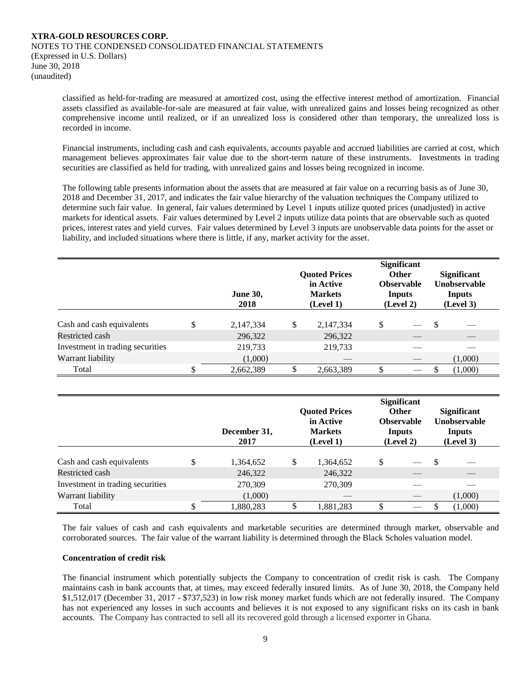classified as held-for-trading are measured at amortized cost, using the effective interest method of amortization. Financial assets classified as available-for-sale are measured at fair value, with unrealized gains and losses being recognized as other comprehensive income until realized, or if an unrealized loss is considered other than temporary, the unrealized loss is recorded in income.

Financial instruments, including cash and cash equivalents, accounts payable and accrued liabilities are carried at cost, which management believes approximates fair value due to the short-term nature of these instruments. Investments in trading securities are classified as held for trading, with unrealized gains and losses being recognized in income.

The following table presents information about the assets that are measured at fair value on a recurring basis as of June 30, 2018 and December 31, 2017, and indicates the fair value hierarchy of the valuation techniques the Company utilized to determine such fair value. In general, fair values determined by Level 1 inputs utilize quoted prices (unadjusted) in active markets for identical assets. Fair values determined by Level 2 inputs utilize data points that are observable such as quoted prices, interest rates and yield curves. Fair values determined by Level 3 inputs are unobservable data points for the asset or liability, and included situations where there is little, if any, market activity for the asset.

|                                  | <b>June 30,</b><br>2018 | <b>Quoted Prices</b><br>in Active<br><b>Markets</b><br>(Level 1) |           | <b>Significant</b><br><b>Other</b><br><b>Observable</b><br>Inputs<br>(Level 2) |  |   | <b>Significant</b><br><b>Unobservable</b><br>Inputs<br>(Level 3) |
|----------------------------------|-------------------------|------------------------------------------------------------------|-----------|--------------------------------------------------------------------------------|--|---|------------------------------------------------------------------|
| Cash and cash equivalents        | \$<br>2,147,334         | \$                                                               | 2,147,334 | \$                                                                             |  | S |                                                                  |
| Restricted cash                  | 296,322                 |                                                                  | 296,322   |                                                                                |  |   |                                                                  |
| Investment in trading securities | 219,733                 |                                                                  | 219,733   |                                                                                |  |   |                                                                  |
| Warrant liability                | (1,000)                 |                                                                  |           |                                                                                |  |   | (1,000)                                                          |
| Total                            | 2,662,389               |                                                                  | 2,663,389 | S                                                                              |  |   | (1,000)                                                          |

|                                  |    | December 31,<br>2017 |    | <b>Ouoted Prices</b><br>in Active<br><b>Markets</b><br>(Level 1) |     | <b>Significant</b><br><b>Other</b><br><b>Observable</b><br>Inputs<br>(Level 2) |     |         | <b>Significant</b><br>Unobservable<br>Inputs<br>(Level 3) |
|----------------------------------|----|----------------------|----|------------------------------------------------------------------|-----|--------------------------------------------------------------------------------|-----|---------|-----------------------------------------------------------|
| Cash and cash equivalents        | ۰D | 1,364,652            | \$ | 1,364,652                                                        | S   |                                                                                | \$. |         |                                                           |
| Restricted cash                  |    | 246,322              |    | 246,322                                                          |     |                                                                                |     |         |                                                           |
| Investment in trading securities |    | 270,309              |    | 270,309                                                          |     |                                                                                |     |         |                                                           |
| Warrant liability                |    | (1,000)              |    |                                                                  |     |                                                                                |     | (1,000) |                                                           |
| Total                            | ъD | 1,880,283            |    | 1,881,283                                                        | \$. |                                                                                |     | (1,000) |                                                           |

The fair values of cash and cash equivalents and marketable securities are determined through market, observable and corroborated sources. The fair value of the warrant liability is determined through the Black Scholes valuation model.

## **Concentration of credit risk**

The financial instrument which potentially subjects the Company to concentration of credit risk is cash. The Company maintains cash in bank accounts that, at times, may exceed federally insured limits. As of June 30, 2018, the Company held \$1,512,017 (December 31, 2017 - \$737,523) in low risk money market funds which are not federally insured. The Company has not experienced any losses in such accounts and believes it is not exposed to any significant risks on its cash in bank accounts. The Company has contracted to sell all its recovered gold through a licensed exporter in Ghana.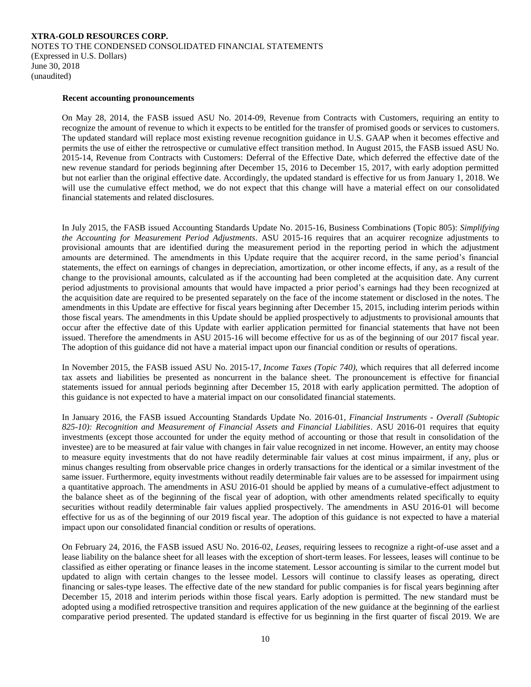#### **Recent accounting pronouncements**

On May 28, 2014, the FASB issued ASU No. 2014-09, Revenue from Contracts with Customers, requiring an entity to recognize the amount of revenue to which it expects to be entitled for the transfer of promised goods or services to customers. The updated standard will replace most existing revenue recognition guidance in U.S. GAAP when it becomes effective and permits the use of either the retrospective or cumulative effect transition method. In August 2015, the FASB issued ASU No. 2015-14, Revenue from Contracts with Customers: Deferral of the Effective Date, which deferred the effective date of the new revenue standard for periods beginning after December 15, 2016 to December 15, 2017, with early adoption permitted but not earlier than the original effective date. Accordingly, the updated standard is effective for us from January 1, 2018. We will use the cumulative effect method, we do not expect that this change will have a material effect on our consolidated financial statements and related disclosures.

In July 2015, the FASB issued Accounting Standards Update No. 2015-16, Business Combinations (Topic 805): *Simplifying the Accounting for Measurement Period Adjustments*. ASU 2015-16 requires that an acquirer recognize adjustments to provisional amounts that are identified during the measurement period in the reporting period in which the adjustment amounts are determined. The amendments in this Update require that the acquirer record, in the same period's financial statements, the effect on earnings of changes in depreciation, amortization, or other income effects, if any, as a result of the change to the provisional amounts, calculated as if the accounting had been completed at the acquisition date. Any current period adjustments to provisional amounts that would have impacted a prior period's earnings had they been recognized at the acquisition date are required to be presented separately on the face of the income statement or disclosed in the notes. The amendments in this Update are effective for fiscal years beginning after December 15, 2015, including interim periods within those fiscal years. The amendments in this Update should be applied prospectively to adjustments to provisional amounts that occur after the effective date of this Update with earlier application permitted for financial statements that have not been issued. Therefore the amendments in ASU 2015-16 will become effective for us as of the beginning of our 2017 fiscal year. The adoption of this guidance did not have a material impact upon our financial condition or results of operations.

In November 2015, the FASB issued ASU No. 2015-17, *Income Taxes (Topic 740),* which requires that all deferred income tax assets and liabilities be presented as noncurrent in the balance sheet. The pronouncement is effective for financial statements issued for annual periods beginning after December 15, 2018 with early application permitted. The adoption of this guidance is not expected to have a material impact on our consolidated financial statements.

In January 2016, the FASB issued Accounting Standards Update No. 2016-01, *Financial Instruments - Overall (Subtopic 825-10): Recognition and Measurement of Financial Assets and Financial Liabilities*. ASU 2016-01 requires that equity investments (except those accounted for under the equity method of accounting or those that result in consolidation of the investee) are to be measured at fair value with changes in fair value recognized in net income. However, an entity may choose to measure equity investments that do not have readily determinable fair values at cost minus impairment, if any, plus or minus changes resulting from observable price changes in orderly transactions for the identical or a similar investment of the same issuer. Furthermore, equity investments without readily determinable fair values are to be assessed for impairment using a quantitative approach. The amendments in ASU 2016-01 should be applied by means of a cumulative-effect adjustment to the balance sheet as of the beginning of the fiscal year of adoption, with other amendments related specifically to equity securities without readily determinable fair values applied prospectively. The amendments in ASU 2016-01 will become effective for us as of the beginning of our 2019 fiscal year. The adoption of this guidance is not expected to have a material impact upon our consolidated financial condition or results of operations.

On February 24, 2016, the FASB issued ASU No. 2016-02, *Leases*, requiring lessees to recognize a right-of-use asset and a lease liability on the balance sheet for all leases with the exception of short-term leases. For lessees, leases will continue to be classified as either operating or finance leases in the income statement. Lessor accounting is similar to the current model but updated to align with certain changes to the lessee model. Lessors will continue to classify leases as operating, direct financing or sales-type leases. The effective date of the new standard for public companies is for fiscal years beginning after December 15, 2018 and interim periods within those fiscal years. Early adoption is permitted. The new standard must be adopted using a modified retrospective transition and requires application of the new guidance at the beginning of the earliest comparative period presented. The updated standard is effective for us beginning in the first quarter of fiscal 2019. We are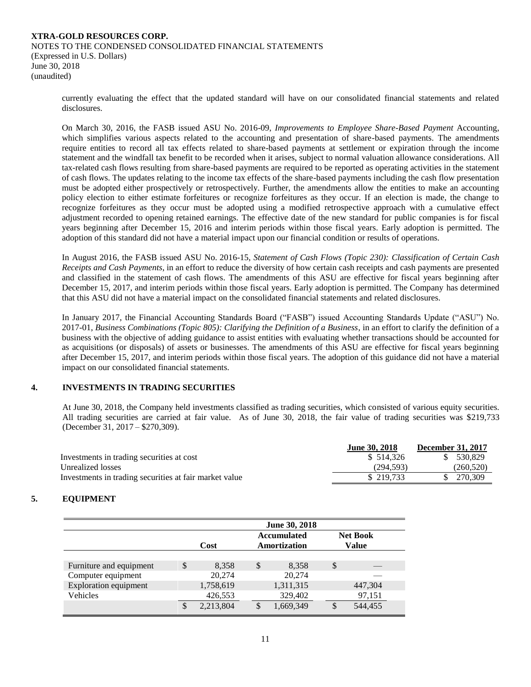currently evaluating the effect that the updated standard will have on our consolidated financial statements and related disclosures.

On March 30, 2016, the FASB issued ASU No. 2016-09, *Improvements to Employee Share-Based Payment* Accounting, which simplifies various aspects related to the accounting and presentation of share-based payments. The amendments require entities to record all tax effects related to share-based payments at settlement or expiration through the income statement and the windfall tax benefit to be recorded when it arises, subject to normal valuation allowance considerations. All tax-related cash flows resulting from share-based payments are required to be reported as operating activities in the statement of cash flows. The updates relating to the income tax effects of the share-based payments including the cash flow presentation must be adopted either prospectively or retrospectively. Further, the amendments allow the entities to make an accounting policy election to either estimate forfeitures or recognize forfeitures as they occur. If an election is made, the change to recognize forfeitures as they occur must be adopted using a modified retrospective approach with a cumulative effect adjustment recorded to opening retained earnings. The effective date of the new standard for public companies is for fiscal years beginning after December 15, 2016 and interim periods within those fiscal years. Early adoption is permitted. The adoption of this standard did not have a material impact upon our financial condition or results of operations.

In August 2016, the FASB issued ASU No. 2016-15, *Statement of Cash Flows (Topic 230): Classification of Certain Cash Receipts and Cash Payments*, in an effort to reduce the diversity of how certain cash receipts and cash payments are presented and classified in the statement of cash flows. The amendments of this ASU are effective for fiscal years beginning after December 15, 2017, and interim periods within those fiscal years. Early adoption is permitted. The Company has determined that this ASU did not have a material impact on the consolidated financial statements and related disclosures.

In January 2017, the Financial Accounting Standards Board ("FASB") issued Accounting Standards Update ("ASU") No. 2017-01, *Business Combinations (Topic 805): Clarifying the Definition of a Business*, in an effort to clarify the definition of a business with the objective of adding guidance to assist entities with evaluating whether transactions should be accounted for as acquisitions (or disposals) of assets or businesses. The amendments of this ASU are effective for fiscal years beginning after December 15, 2017, and interim periods within those fiscal years. The adoption of this guidance did not have a material impact on our consolidated financial statements.

# **4. INVESTMENTS IN TRADING SECURITIES**

At June 30, 2018, the Company held investments classified as trading securities, which consisted of various equity securities. All trading securities are carried at fair value. As of June 30, 2018, the fair value of trading securities was \$219,733 (December 31, 2017 – \$270,309).

|                                                        | <b>June 30, 2018</b> | <b>December 31, 2017</b> |
|--------------------------------------------------------|----------------------|--------------------------|
| Investments in trading securities at cost              | \$514.326            | 530.829                  |
| Unrealized losses                                      | (294.593)            | (260, 520)               |
| Investments in trading securities at fair market value | \$219,733            | 270.309                  |

# **5. EQUIPMENT**

|                              |          | June 30, 2018 |               |                                    |                                 |         |  |  |  |
|------------------------------|----------|---------------|---------------|------------------------------------|---------------------------------|---------|--|--|--|
|                              |          | Cost          |               | <b>Accumulated</b><br>Amortization | <b>Net Book</b><br><b>Value</b> |         |  |  |  |
|                              |          |               |               |                                    |                                 |         |  |  |  |
| Furniture and equipment      | \$       | 8,358         | <sup>\$</sup> | 8.358                              | <sup>\$</sup>                   |         |  |  |  |
| Computer equipment           |          | 20,274        |               | 20,274                             |                                 |         |  |  |  |
| <b>Exploration equipment</b> |          | 1,758,619     |               | 1,311,315                          |                                 | 447,304 |  |  |  |
| Vehicles                     |          | 426,553       |               | 329,402                            |                                 | 97,151  |  |  |  |
|                              | <b>S</b> | 2,213,804     | <b>S</b>      | 1,669,349                          |                                 | 544,455 |  |  |  |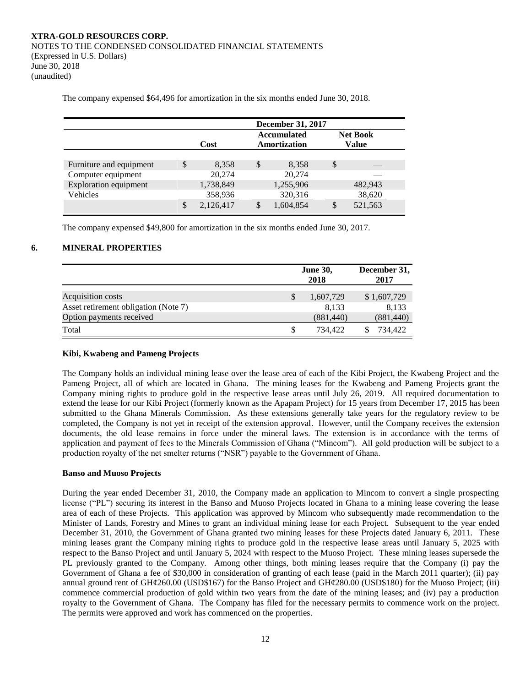**December 31, 2017 Cost Accumulated Amortization Net Book Value** Furniture and equipment  $\qquad$  \$  $8,358$  \$  $8,358$  \$ Computer equipment 20,274 20,274 Exploration equipment 1,738,849 1,255,906 482,943 Vehicles 358,936 320,316 38,620 \$ 2,126,417 \$ 1,604,854 \$ 521,563

The company expensed \$64,496 for amortization in the six months ended June 30, 2018.

The company expensed \$49,800 for amortization in the six months ended June 30, 2017.

# **6. MINERAL PROPERTIES**

|                                      | <b>June 30,</b><br>2018 | December 31,<br>2017 |
|--------------------------------------|-------------------------|----------------------|
| Acquisition costs                    | 1,607,729               | \$1,607,729          |
| Asset retirement obligation (Note 7) | 8.133                   | 8,133                |
| Option payments received             | (881, 440)              | (881, 440)           |
| Total                                | 734.422                 | 734.422              |

#### **Kibi, Kwabeng and Pameng Projects**

The Company holds an individual mining lease over the lease area of each of the Kibi Project, the Kwabeng Project and the Pameng Project, all of which are located in Ghana. The mining leases for the Kwabeng and Pameng Projects grant the Company mining rights to produce gold in the respective lease areas until July 26, 2019. All required documentation to extend the lease for our Kibi Project (formerly known as the Apapam Project) for 15 years from December 17, 2015 has been submitted to the Ghana Minerals Commission. As these extensions generally take years for the regulatory review to be completed, the Company is not yet in receipt of the extension approval. However, until the Company receives the extension documents, the old lease remains in force under the mineral laws. The extension is in accordance with the terms of application and payment of fees to the Minerals Commission of Ghana ("Mincom"). All gold production will be subject to a production royalty of the net smelter returns ("NSR") payable to the Government of Ghana.

#### **Banso and Muoso Projects**

During the year ended December 31, 2010, the Company made an application to Mincom to convert a single prospecting license ("PL") securing its interest in the Banso and Muoso Projects located in Ghana to a mining lease covering the lease area of each of these Projects. This application was approved by Mincom who subsequently made recommendation to the Minister of Lands, Forestry and Mines to grant an individual mining lease for each Project. Subsequent to the year ended December 31, 2010, the Government of Ghana granted two mining leases for these Projects dated January 6, 2011. These mining leases grant the Company mining rights to produce gold in the respective lease areas until January 5, 2025 with respect to the Banso Project and until January 5, 2024 with respect to the Muoso Project. These mining leases supersede the PL previously granted to the Company. Among other things, both mining leases require that the Company (i) pay the Government of Ghana a fee of \$30,000 in consideration of granting of each lease (paid in the March 2011 quarter); (ii) pay annual ground rent of GH¢260.00 (USD\$167) for the Banso Project and GH¢280.00 (USD\$180) for the Muoso Project; (iii) commence commercial production of gold within two years from the date of the mining leases; and (iv) pay a production royalty to the Government of Ghana. The Company has filed for the necessary permits to commence work on the project. The permits were approved and work has commenced on the properties.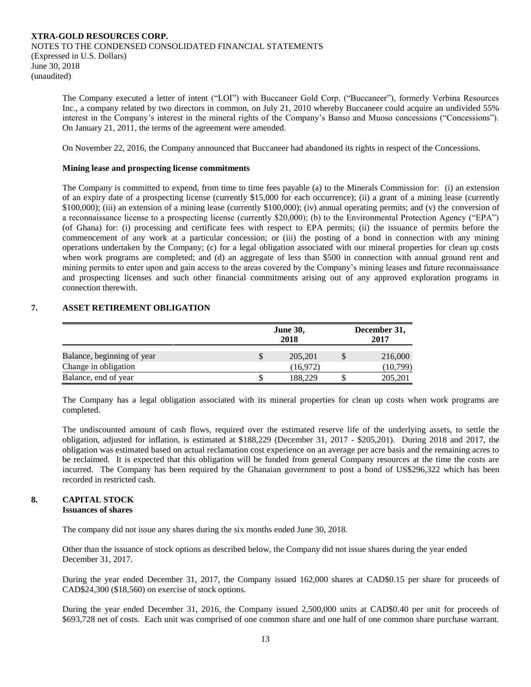The Company executed a letter of intent ("LOI") with Buccaneer Gold Corp. ("Buccaneer"), formerly Verbina Resources Inc., a company related by two directors in common, on July 21, 2010 whereby Buccaneer could acquire an undivided 55% interest in the Company's interest in the mineral rights of the Company's Banso and Muoso concessions ("Concessions"). On January 21, 2011, the terms of the agreement were amended.

On November 22, 2016, the Company announced that Buccaneer had abandoned its rights in respect of the Concessions.

# **Mining lease and prospecting license commitments**

The Company is committed to expend, from time to time fees payable (a) to the Minerals Commission for: (i) an extension of an expiry date of a prospecting license (currently \$15,000 for each occurrence); (ii) a grant of a mining lease (currently \$100,000); (iii) an extension of a mining lease (currently \$100,000); (iv) annual operating permits; and (v) the conversion of a reconnaissance license to a prospecting license (currently \$20,000); (b) to the Environmental Protection Agency ("EPA") (of Ghana) for: (i) processing and certificate fees with respect to EPA permits; (ii) the issuance of permits before the commencement of any work at a particular concession; or (iii) the posting of a bond in connection with any mining operations undertaken by the Company; (c) for a legal obligation associated with our mineral properties for clean up costs when work programs are completed; and (d) an aggregate of less than \$500 in connection with annual ground rent and mining permits to enter upon and gain access to the areas covered by the Company's mining leases and future reconnaissance and prospecting licenses and such other financial commitments arising out of any approved exploration programs in connection therewith.

# **7. ASSET RETIREMENT OBLIGATION**

|                                                    |   | <b>June 30,</b><br>2018 | December 31,<br>2017 |  |  |
|----------------------------------------------------|---|-------------------------|----------------------|--|--|
| Balance, beginning of year<br>Change in obligation | S | 205, 201<br>(16,972)    | 216,000<br>(10,799)  |  |  |
| Balance, end of year                               |   | 188,229                 | 205,201              |  |  |

The Company has a legal obligation associated with its mineral properties for clean up costs when work programs are completed.

The undiscounted amount of cash flows, required over the estimated reserve life of the underlying assets, to settle the obligation, adjusted for inflation, is estimated at \$188,229 (December 31, 2017 - \$205,201). During 2018 and 2017, the obligation was estimated based on actual reclamation cost experience on an average per acre basis and the remaining acres to be reclaimed. It is expected that this obligation will be funded from general Company resources at the time the costs are incurred. The Company has been required by the Ghanaian government to post a bond of US\$296,322 which has been recorded in restricted cash.

#### **8. CAPITAL STOCK Issuances of shares**

The company did not issue any shares during the six months ended June 30, 2018.

Other than the issuance of stock options as described below, the Company did not issue shares during the year ended December 31, 2017.

During the year ended December 31, 2017, the Company issued 162,000 shares at CAD\$0.15 per share for proceeds of CAD\$24,300 (\$18,560) on exercise of stock options.

During the year ended December 31, 2016, the Company issued 2,500,000 units at CAD\$0.40 per unit for proceeds of \$693,728 net of costs. Each unit was comprised of one common share and one half of one common share purchase warrant.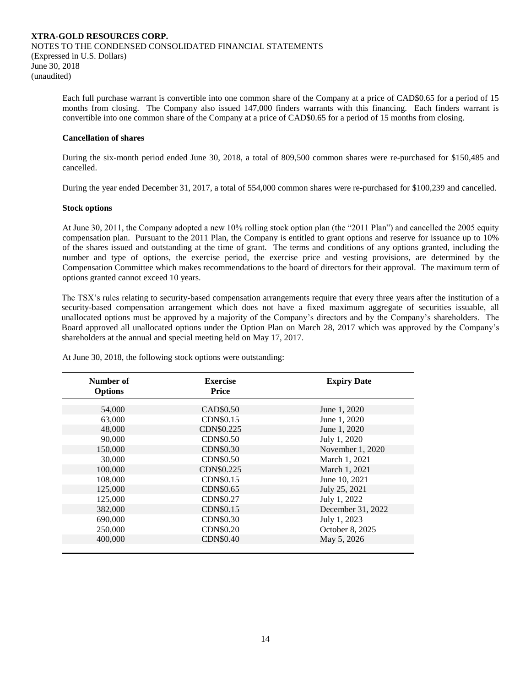Each full purchase warrant is convertible into one common share of the Company at a price of CAD\$0.65 for a period of 15 months from closing. The Company also issued 147,000 finders warrants with this financing. Each finders warrant is convertible into one common share of the Company at a price of CAD\$0.65 for a period of 15 months from closing.

## **Cancellation of shares**

During the six-month period ended June 30, 2018, a total of 809,500 common shares were re-purchased for \$150,485 and cancelled.

During the year ended December 31, 2017, a total of 554,000 common shares were re-purchased for \$100,239 and cancelled.

#### **Stock options**

At June 30, 2011, the Company adopted a new 10% rolling stock option plan (the "2011 Plan") and cancelled the 2005 equity compensation plan. Pursuant to the 2011 Plan, the Company is entitled to grant options and reserve for issuance up to 10% of the shares issued and outstanding at the time of grant. The terms and conditions of any options granted, including the number and type of options, the exercise period, the exercise price and vesting provisions, are determined by the Compensation Committee which makes recommendations to the board of directors for their approval. The maximum term of options granted cannot exceed 10 years.

The TSX's rules relating to security-based compensation arrangements require that every three years after the institution of a security-based compensation arrangement which does not have a fixed maximum aggregate of securities issuable, all unallocated options must be approved by a majority of the Company's directors and by the Company's shareholders. The Board approved all unallocated options under the Option Plan on March 28, 2017 which was approved by the Company's shareholders at the annual and special meeting held on May 17, 2017.

| Number of<br><b>Options</b> | <b>Exercise</b><br>Price | <b>Expiry Date</b> |  |
|-----------------------------|--------------------------|--------------------|--|
|                             |                          |                    |  |
| 54,000                      | CAD\$0.50                | June 1, 2020       |  |
| 63,000                      | <b>CDN\$0.15</b>         | June 1, 2020       |  |
| 48,000                      | CDN\$0.225               | June 1, 2020       |  |
| 90,000                      | <b>CDN\$0.50</b>         | July 1, 2020       |  |
| 150,000                     | <b>CDN\$0.30</b>         | November 1, 2020   |  |
| 30,000                      | <b>CDN\$0.50</b>         | March 1, 2021      |  |
| 100,000                     | CDN\$0.225               | March 1, 2021      |  |
| 108,000                     | CDN\$0.15                | June 10, 2021      |  |
| 125,000                     | CDN\$0.65                | July 25, 2021      |  |
| 125,000                     | CDN\$0.27                | July 1, 2022       |  |
| 382,000                     | <b>CDN\$0.15</b>         | December 31, 2022  |  |
| 690,000                     | CDN\$0.30                | July 1, 2023       |  |
| 250,000                     | <b>CDN\$0.20</b>         | October 8, 2025    |  |
| 400,000                     | <b>CDN\$0.40</b>         | May 5, 2026        |  |
|                             |                          |                    |  |

At June 30, 2018, the following stock options were outstanding: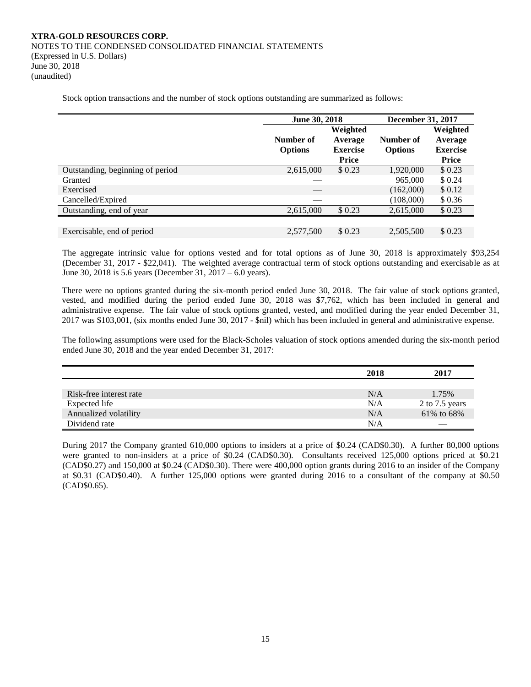Stock option transactions and the number of stock options outstanding are summarized as follows:

|                                  | June 30, 2018  |                                 | December 31, 2017 |                                 |  |
|----------------------------------|----------------|---------------------------------|-------------------|---------------------------------|--|
|                                  |                | Weighted                        |                   | Weighted                        |  |
|                                  | Number of      | Average                         | Number of         | Average                         |  |
|                                  | <b>Options</b> | <b>Exercise</b><br><b>Price</b> | <b>Options</b>    | <b>Exercise</b><br><b>Price</b> |  |
| Outstanding, beginning of period | 2,615,000      | \$0.23                          | 1,920,000         | \$0.23                          |  |
| Granted                          |                |                                 | 965,000           | \$0.24                          |  |
| Exercised                        |                |                                 | (162,000)         | \$0.12                          |  |
| Cancelled/Expired                |                |                                 | (108,000)         | \$0.36                          |  |
| Outstanding, end of year         | 2,615,000      | \$0.23                          | 2,615,000         | \$0.23                          |  |
|                                  |                |                                 |                   |                                 |  |
| Exercisable, end of period       | 2,577,500      | \$ 0.23                         | 2,505,500         | \$0.23                          |  |

The aggregate intrinsic value for options vested and for total options as of June 30, 2018 is approximately \$93,254 (December 31, 2017 - \$22,041). The weighted average contractual term of stock options outstanding and exercisable as at June 30, 2018 is 5.6 years (December 31, 2017 – 6.0 years).

There were no options granted during the six-month period ended June 30, 2018. The fair value of stock options granted, vested, and modified during the period ended June 30, 2018 was \$7,762, which has been included in general and administrative expense. The fair value of stock options granted, vested, and modified during the year ended December 31, 2017 was \$103,001, (six months ended June 30, 2017 - \$nil) which has been included in general and administrative expense.

The following assumptions were used for the Black-Scholes valuation of stock options amended during the six-month period ended June 30, 2018 and the year ended December 31, 2017:

|                         | 2018 | 2017           |
|-------------------------|------|----------------|
|                         |      |                |
| Risk-free interest rate | N/A  | 1.75%          |
| Expected life           | N/A  | 2 to 7.5 years |
| Annualized volatility   | N/A  | 61% to 68%     |
| Dividend rate           | N/A  |                |

During 2017 the Company granted 610,000 options to insiders at a price of \$0.24 (CAD\$0.30). A further 80,000 options were granted to non-insiders at a price of \$0.24 (CAD\$0.30). Consultants received 125,000 options priced at \$0.21 (CAD\$0.27) and 150,000 at \$0.24 (CAD\$0.30). There were 400,000 option grants during 2016 to an insider of the Company at \$0.31 (CAD\$0.40). A further 125,000 options were granted during 2016 to a consultant of the company at \$0.50 (CAD\$0.65).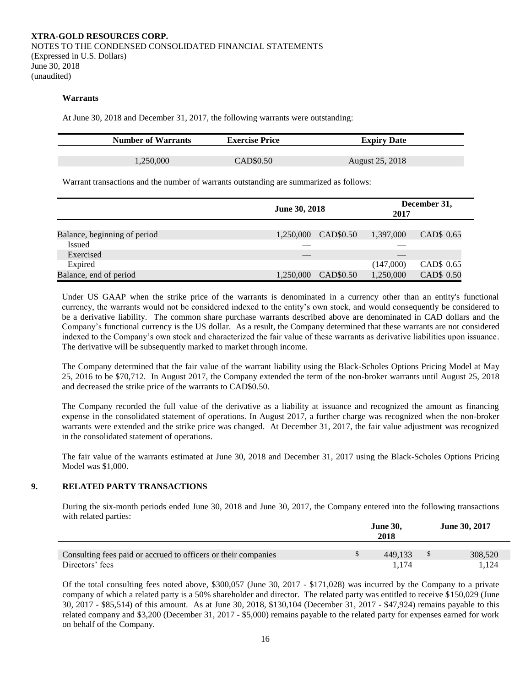#### **Warrants**

At June 30, 2018 and December 31, 2017, the following warrants were outstanding:

| <b>Number of Warrants</b> | <b>Exercise Price</b> | <b>Expiry Date</b> |  |
|---------------------------|-----------------------|--------------------|--|
|                           |                       |                    |  |
| .250.000                  | CAD\$0.50             | August 25, 2018    |  |

Warrant transactions and the number of warrants outstanding are summarized as follows:

|                              | <b>June 30, 2018</b>   | December 31,<br>2017    |
|------------------------------|------------------------|-------------------------|
|                              |                        |                         |
| Balance, beginning of period | CAD\$0.50<br>1.250,000 | CAD\$ 0.65<br>1,397,000 |
| Issued                       |                        |                         |
| Exercised                    |                        |                         |
| Expired                      |                        | CAD\$ 0.65<br>(147,000) |
| Balance, end of period       | CAD\$0.50<br>1,250,000 | CAD\$ 0.50<br>1,250,000 |

Under US GAAP when the strike price of the warrants is denominated in a currency other than an entity's functional currency, the warrants would not be considered indexed to the entity's own stock, and would consequently be considered to be a derivative liability. The common share purchase warrants described above are denominated in CAD dollars and the Company's functional currency is the US dollar. As a result, the Company determined that these warrants are not considered indexed to the Company's own stock and characterized the fair value of these warrants as derivative liabilities upon issuance. The derivative will be subsequently marked to market through income.

The Company determined that the fair value of the warrant liability using the Black-Scholes Options Pricing Model at May 25, 2016 to be \$70,712. In August 2017, the Company extended the term of the non-broker warrants until August 25, 2018 and decreased the strike price of the warrants to CAD\$0.50.

The Company recorded the full value of the derivative as a liability at issuance and recognized the amount as financing expense in the consolidated statement of operations. In August 2017, a further charge was recognized when the non-broker warrants were extended and the strike price was changed. At December 31, 2017, the fair value adjustment was recognized in the consolidated statement of operations.

The fair value of the warrants estimated at June 30, 2018 and December 31, 2017 using the Black-Scholes Options Pricing Model was \$1,000.

# **9. RELATED PARTY TRANSACTIONS**

During the six-month periods ended June 30, 2018 and June 30, 2017, the Company entered into the following transactions with related parties:

|                                                                | <b>June 30,</b><br>2018 |         | <b>June 30, 2017</b> |
|----------------------------------------------------------------|-------------------------|---------|----------------------|
| Consulting fees paid or accrued to officers or their companies |                         | 449.133 | 308,520              |
| Directors' fees                                                |                         | 1.174   | 1.124                |

Of the total consulting fees noted above, \$300,057 (June 30, 2017 - \$171,028) was incurred by the Company to a private company of which a related party is a 50% shareholder and director. The related party was entitled to receive \$150,029 (June 30, 2017 - \$85,514) of this amount. As at June 30, 2018, \$130,104 (December 31, 2017 - \$47,924) remains payable to this related company and \$3,200 (December 31, 2017 - \$5,000) remains payable to the related party for expenses earned for work on behalf of the Company.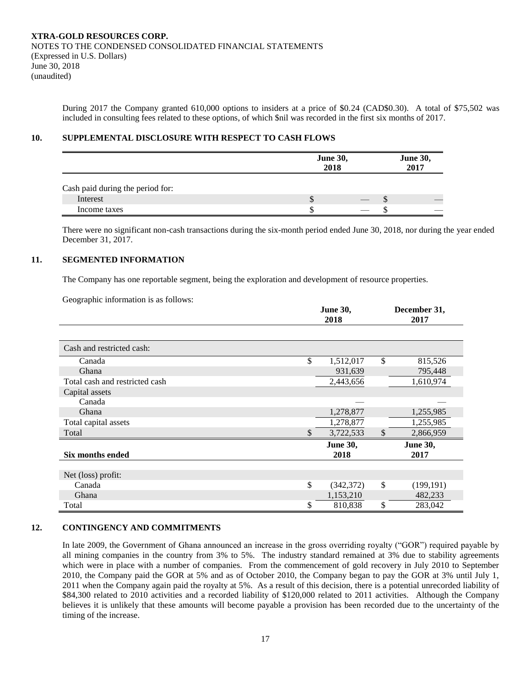During 2017 the Company granted 610,000 options to insiders at a price of \$0.24 (CAD\$0.30). A total of \$75,502 was included in consulting fees related to these options, of which \$nil was recorded in the first six months of 2017.

# **10. SUPPLEMENTAL DISCLOSURE WITH RESPECT TO CASH FLOWS**

|                                  | <b>June 30,</b><br>2018 | <b>June 30,</b><br>2017 |
|----------------------------------|-------------------------|-------------------------|
| Cash paid during the period for: |                         |                         |
| Interest                         | ۰D                      | D                       |
| Income taxes                     |                         |                         |

There were no significant non-cash transactions during the six-month period ended June 30, 2018, nor during the year ended December 31, 2017.

# **11. SEGMENTED INFORMATION**

The Company has one reportable segment, being the exploration and development of resource properties.

Geographic information is as follows:

|                                | <b>June 30,</b><br>2018 |    | December 31,<br>2017    |
|--------------------------------|-------------------------|----|-------------------------|
|                                |                         |    |                         |
| Cash and restricted cash:      |                         |    |                         |
| Canada                         | \$<br>1,512,017         | \$ | 815,526                 |
| Ghana                          | 931,639                 |    | 795,448                 |
| Total cash and restricted cash | 2,443,656               |    | 1,610,974               |
| Capital assets                 |                         |    |                         |
| Canada                         |                         |    |                         |
| Ghana                          | 1,278,877               |    | 1,255,985               |
| Total capital assets           | 1,278,877               |    | 1,255,985               |
| Total                          | \$<br>3,722,533         | \$ | 2,866,959               |
| <b>Six months ended</b>        | <b>June 30,</b><br>2018 |    | <b>June 30,</b><br>2017 |
|                                |                         |    |                         |
| Net (loss) profit:             |                         |    |                         |
| Canada                         | \$<br>(342, 372)        | \$ | (199, 191)              |
| Ghana                          | 1,153,210               |    | 482,233                 |
| Total                          | \$<br>810,838           | \$ | 283,042                 |

# **12. CONTINGENCY AND COMMITMENTS**

In late 2009, the Government of Ghana announced an increase in the gross overriding royalty ("GOR") required payable by all mining companies in the country from 3% to 5%. The industry standard remained at 3% due to stability agreements which were in place with a number of companies. From the commencement of gold recovery in July 2010 to September 2010, the Company paid the GOR at 5% and as of October 2010, the Company began to pay the GOR at 3% until July 1, 2011 when the Company again paid the royalty at 5%. As a result of this decision, there is a potential unrecorded liability of \$84,300 related to 2010 activities and a recorded liability of \$120,000 related to 2011 activities. Although the Company believes it is unlikely that these amounts will become payable a provision has been recorded due to the uncertainty of the timing of the increase.